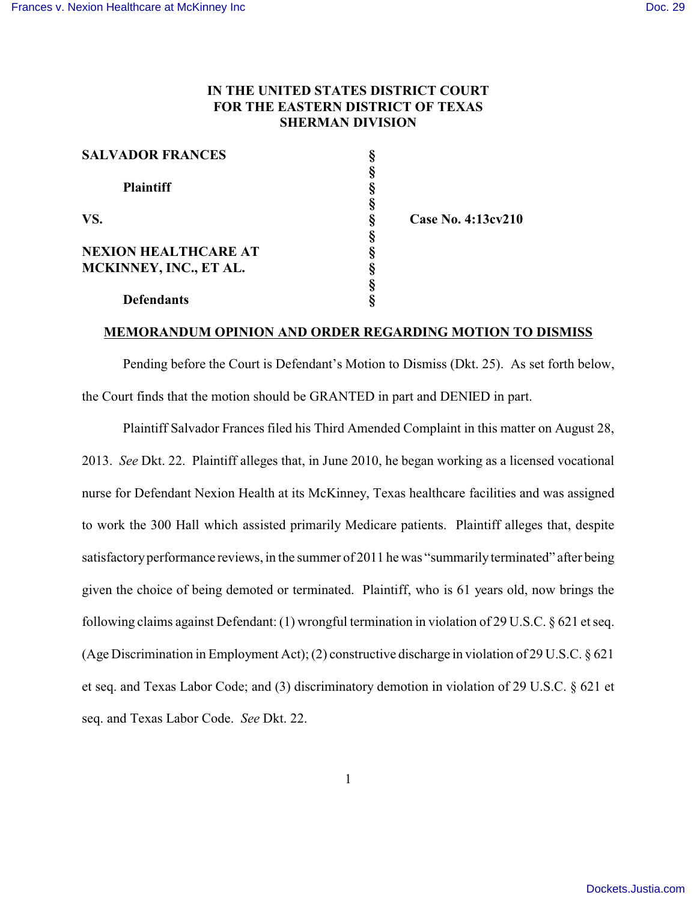## **IN THE UNITED STATES DISTRICT COURT FOR THE EASTERN DISTRICT OF TEXAS SHERMAN DIVISION**

| <b>SALVADOR FRANCES</b>     |   |                    |
|-----------------------------|---|--------------------|
|                             |   |                    |
| <b>Plaintiff</b>            |   |                    |
|                             |   |                    |
| VS.                         | ş | Case No. 4:13cv210 |
|                             |   |                    |
| <b>NEXION HEALTHCARE AT</b> |   |                    |
| MCKINNEY, INC., ET AL.      |   |                    |
|                             |   |                    |
| <b>Defendants</b>           |   |                    |

#### **MEMORANDUM OPINION AND ORDER REGARDING MOTION TO DISMISS**

Pending before the Court is Defendant's Motion to Dismiss (Dkt. 25). As set forth below, the Court finds that the motion should be GRANTED in part and DENIED in part.

Plaintiff Salvador Frances filed his Third Amended Complaint in this matter on August 28, 2013. *See* Dkt. 22. Plaintiff alleges that, in June 2010, he began working as a licensed vocational nurse for Defendant Nexion Health at its McKinney, Texas healthcare facilities and was assigned to work the 300 Hall which assisted primarily Medicare patients. Plaintiff alleges that, despite satisfactory performance reviews, in the summer of 2011 he was "summarily terminated" after being given the choice of being demoted or terminated. Plaintiff, who is 61 years old, now brings the following claims against Defendant: (1) wrongful termination in violation of 29 U.S.C. § 621 et seq. (Age Discrimination in Employment Act); (2) constructive discharge in violation of 29 U.S.C. § 621 et seq. and Texas Labor Code; and (3) discriminatory demotion in violation of 29 U.S.C. § 621 et seq. and Texas Labor Code. *See* Dkt. 22.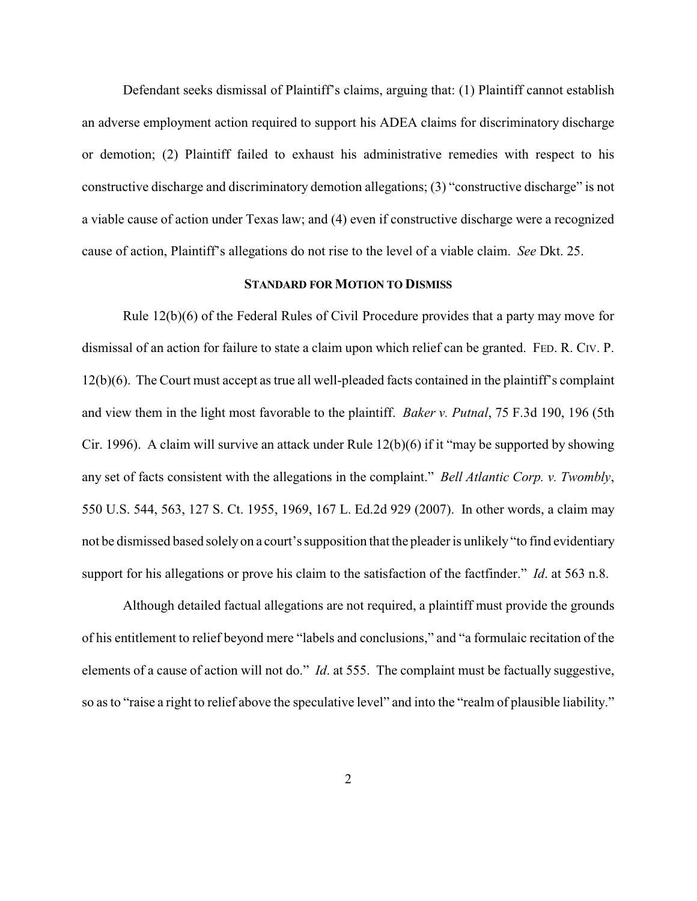Defendant seeks dismissal of Plaintiff's claims, arguing that: (1) Plaintiff cannot establish an adverse employment action required to support his ADEA claims for discriminatory discharge or demotion; (2) Plaintiff failed to exhaust his administrative remedies with respect to his constructive discharge and discriminatory demotion allegations; (3) "constructive discharge" is not a viable cause of action under Texas law; and (4) even if constructive discharge were a recognized cause of action, Plaintiff's allegations do not rise to the level of a viable claim. *See* Dkt. 25.

### **STANDARD FOR MOTION TO DISMISS**

Rule 12(b)(6) of the Federal Rules of Civil Procedure provides that a party may move for dismissal of an action for failure to state a claim upon which relief can be granted. FED. R. CIV. P. 12(b)(6). The Court must accept as true all well-pleaded facts contained in the plaintiff's complaint and view them in the light most favorable to the plaintiff. *Baker v. Putnal*, 75 F.3d 190, 196 (5th Cir. 1996). A claim will survive an attack under Rule 12(b)(6) if it "may be supported by showing any set of facts consistent with the allegations in the complaint." *Bell Atlantic Corp. v. Twombly*, 550 U.S. 544, 563, 127 S. Ct. 1955, 1969, 167 L. Ed.2d 929 (2007). In other words, a claim may not be dismissed based solely on a court's supposition that the pleader is unlikely "to find evidentiary support for his allegations or prove his claim to the satisfaction of the factfinder." *Id*. at 563 n.8.

Although detailed factual allegations are not required, a plaintiff must provide the grounds of his entitlement to relief beyond mere "labels and conclusions," and "a formulaic recitation of the elements of a cause of action will not do." *Id*. at 555. The complaint must be factually suggestive, so as to "raise a right to relief above the speculative level" and into the "realm of plausible liability."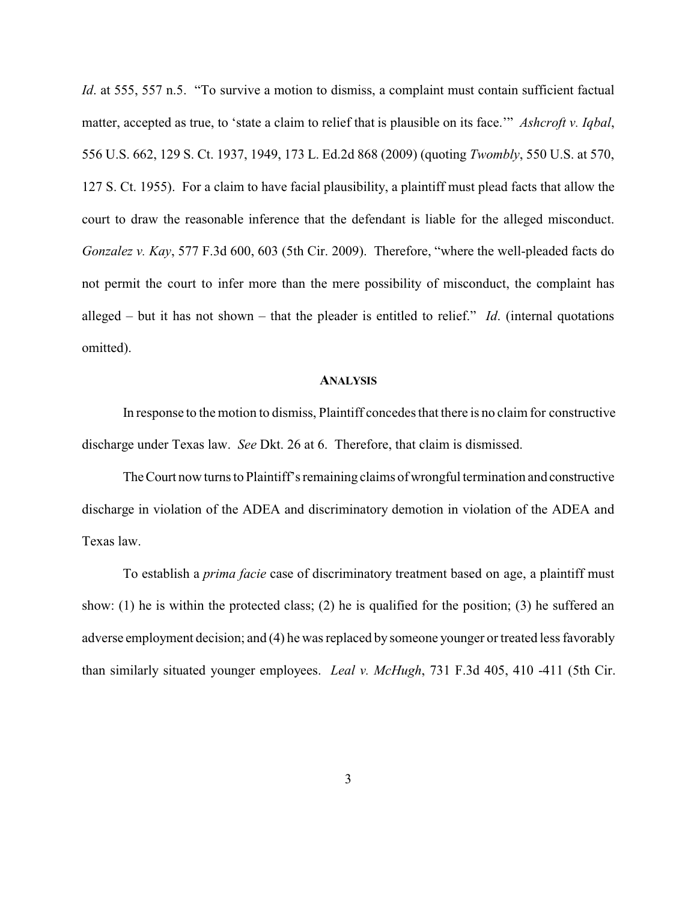*Id.* at 555, 557 n.5. "To survive a motion to dismiss, a complaint must contain sufficient factual matter, accepted as true, to 'state a claim to relief that is plausible on its face.'" *Ashcroft v. Iqbal*, 556 U.S. 662, 129 S. Ct. 1937, 1949, 173 L. Ed.2d 868 (2009) (quoting *Twombly*, 550 U.S. at 570, 127 S. Ct. 1955). For a claim to have facial plausibility, a plaintiff must plead facts that allow the court to draw the reasonable inference that the defendant is liable for the alleged misconduct. *Gonzalez v. Kay*, 577 F.3d 600, 603 (5th Cir. 2009). Therefore, "where the well-pleaded facts do not permit the court to infer more than the mere possibility of misconduct, the complaint has alleged – but it has not shown – that the pleader is entitled to relief." *Id*. (internal quotations omitted).

#### **ANALYSIS**

In response to the motion to dismiss, Plaintiff concedes that there is no claim for constructive discharge under Texas law. *See* Dkt. 26 at 6. Therefore, that claim is dismissed.

TheCourt now turns to Plaintiff's remaining claims of wrongful termination and constructive discharge in violation of the ADEA and discriminatory demotion in violation of the ADEA and Texas law.

To establish a *prima facie* case of discriminatory treatment based on age, a plaintiff must show: (1) he is within the protected class; (2) he is qualified for the position; (3) he suffered an adverse employment decision; and (4) he was replaced by someone younger or treated less favorably than similarly situated younger employees. *Leal v. McHugh*, 731 F.3d 405, 410 -411 (5th Cir.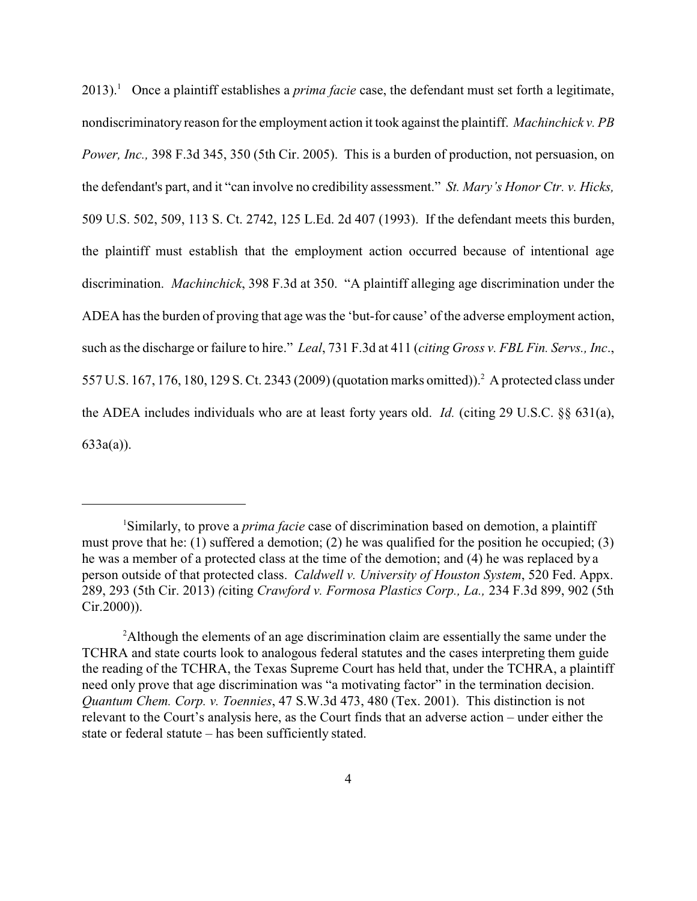2013).<sup>1</sup> Once a plaintiff establishes a *prima facie* case, the defendant must set forth a legitimate, nondiscriminatory reason for the employment action it took against the plaintiff. *Machinchick v. PB Power, Inc.,* 398 F.3d 345, 350 (5th Cir. 2005). This is a burden of production, not persuasion, on the defendant's part, and it "can involve no credibility assessment." *St. Mary's Honor Ctr. v. Hicks,* 509 U.S. 502, 509, 113 S. Ct. 2742, 125 L.Ed. 2d 407 (1993). If the defendant meets this burden, the plaintiff must establish that the employment action occurred because of intentional age discrimination. *Machinchick*, 398 F.3d at 350. "A plaintiff alleging age discrimination under the ADEA has the burden of proving that age was the 'but-for cause' of the adverse employment action, such as the discharge or failure to hire." *Leal*, 731 F.3d at 411 (*citing Gross v. FBL Fin. Servs., Inc*., 557 U.S. 167, 176, 180, 129 S. Ct. 2343 (2009) (quotation marks omitted)).<sup>2</sup> A protected class under the ADEA includes individuals who are at least forty years old. *Id.* (citing 29 U.S.C. §§ 631(a), 633a(a)).

<sup>1</sup>Similarly, to prove a *prima facie* case of discrimination based on demotion, a plaintiff must prove that he: (1) suffered a demotion; (2) he was qualified for the position he occupied; (3) he was a member of a protected class at the time of the demotion; and (4) he was replaced by a person outside of that protected class. *Caldwell v. University of Houston System*, 520 Fed. Appx. 289, 293 (5th Cir. 2013) *(*citing *Crawford v. Formosa Plastics Corp., La.,* 234 F.3d 899, 902 (5th Cir.2000)).

<sup>2</sup>Although the elements of an age discrimination claim are essentially the same under the TCHRA and state courts look to analogous federal statutes and the cases interpreting them guide the reading of the TCHRA, the Texas Supreme Court has held that, under the TCHRA, a plaintiff need only prove that age discrimination was "a motivating factor" in the termination decision. *Quantum Chem. Corp. v. Toennies*, 47 S.W.3d 473, 480 (Tex. 2001). This distinction is not relevant to the Court's analysis here, as the Court finds that an adverse action – under either the state or federal statute – has been sufficiently stated.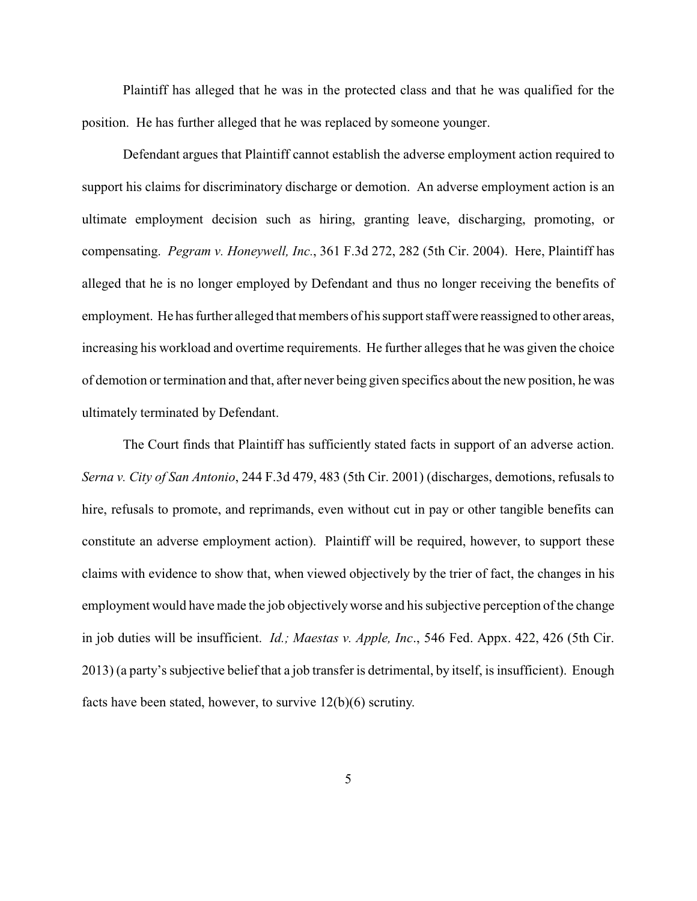Plaintiff has alleged that he was in the protected class and that he was qualified for the position. He has further alleged that he was replaced by someone younger.

Defendant argues that Plaintiff cannot establish the adverse employment action required to support his claims for discriminatory discharge or demotion. An adverse employment action is an ultimate employment decision such as hiring, granting leave, discharging, promoting, or compensating. *Pegram v. Honeywell, Inc.*, 361 F.3d 272, 282 (5th Cir. 2004). Here, Plaintiff has alleged that he is no longer employed by Defendant and thus no longer receiving the benefits of employment. He has further alleged that members of his support staff were reassigned to other areas, increasing his workload and overtime requirements. He further alleges that he was given the choice of demotion or termination and that, after never being given specifics about the new position, he was ultimately terminated by Defendant.

The Court finds that Plaintiff has sufficiently stated facts in support of an adverse action. *Serna v. City of San Antonio*, 244 F.3d 479, 483 (5th Cir. 2001) (discharges, demotions, refusals to hire, refusals to promote, and reprimands, even without cut in pay or other tangible benefits can constitute an adverse employment action). Plaintiff will be required, however, to support these claims with evidence to show that, when viewed objectively by the trier of fact, the changes in his employment would have made the job objectivelyworse and his subjective perception of the change in job duties will be insufficient. *Id.; Maestas v. Apple, Inc*., 546 Fed. Appx. 422, 426 (5th Cir. 2013) (a party's subjective belief that a job transfer is detrimental, by itself, is insufficient). Enough facts have been stated, however, to survive 12(b)(6) scrutiny.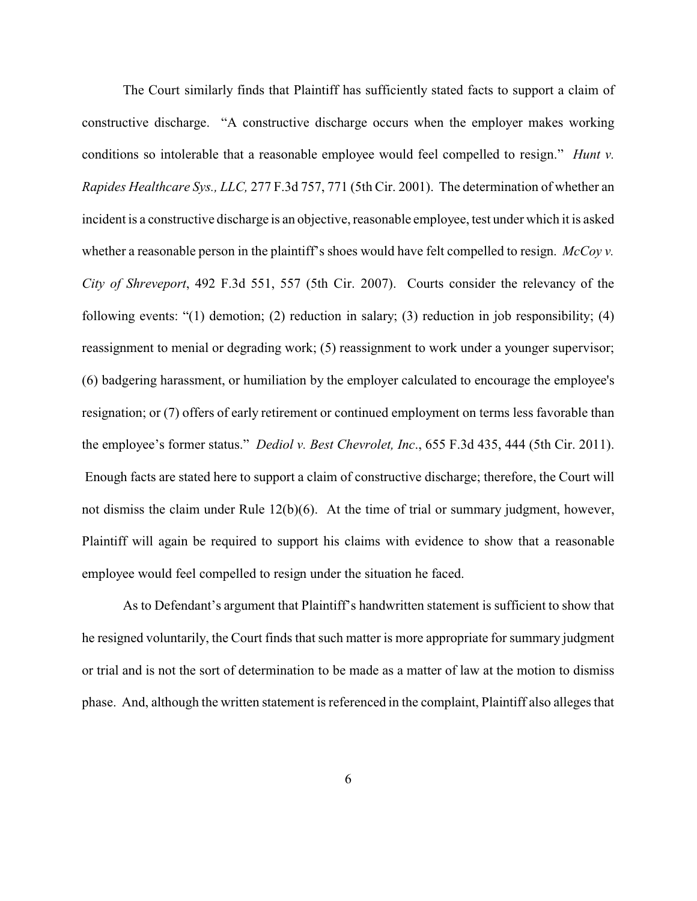The Court similarly finds that Plaintiff has sufficiently stated facts to support a claim of constructive discharge. "A constructive discharge occurs when the employer makes working conditions so intolerable that a reasonable employee would feel compelled to resign." *Hunt v. Rapides Healthcare Sys., LLC,* 277 F.3d 757, 771 (5th Cir. 2001). The determination of whether an incident is a constructive discharge is an objective, reasonable employee, test under which it is asked whether a reasonable person in the plaintiff's shoes would have felt compelled to resign. *McCoy v. City of Shreveport*, 492 F.3d 551, 557 (5th Cir. 2007). Courts consider the relevancy of the following events: "(1) demotion; (2) reduction in salary; (3) reduction in job responsibility; (4) reassignment to menial or degrading work; (5) reassignment to work under a younger supervisor; (6) badgering harassment, or humiliation by the employer calculated to encourage the employee's resignation; or (7) offers of early retirement or continued employment on terms less favorable than the employee's former status." *Dediol v. Best Chevrolet, Inc*., 655 F.3d 435, 444 (5th Cir. 2011). Enough facts are stated here to support a claim of constructive discharge; therefore, the Court will not dismiss the claim under Rule 12(b)(6). At the time of trial or summary judgment, however, Plaintiff will again be required to support his claims with evidence to show that a reasonable employee would feel compelled to resign under the situation he faced.

As to Defendant's argument that Plaintiff's handwritten statement is sufficient to show that he resigned voluntarily, the Court finds that such matter is more appropriate for summary judgment or trial and is not the sort of determination to be made as a matter of law at the motion to dismiss phase. And, although the written statement is referenced in the complaint, Plaintiff also alleges that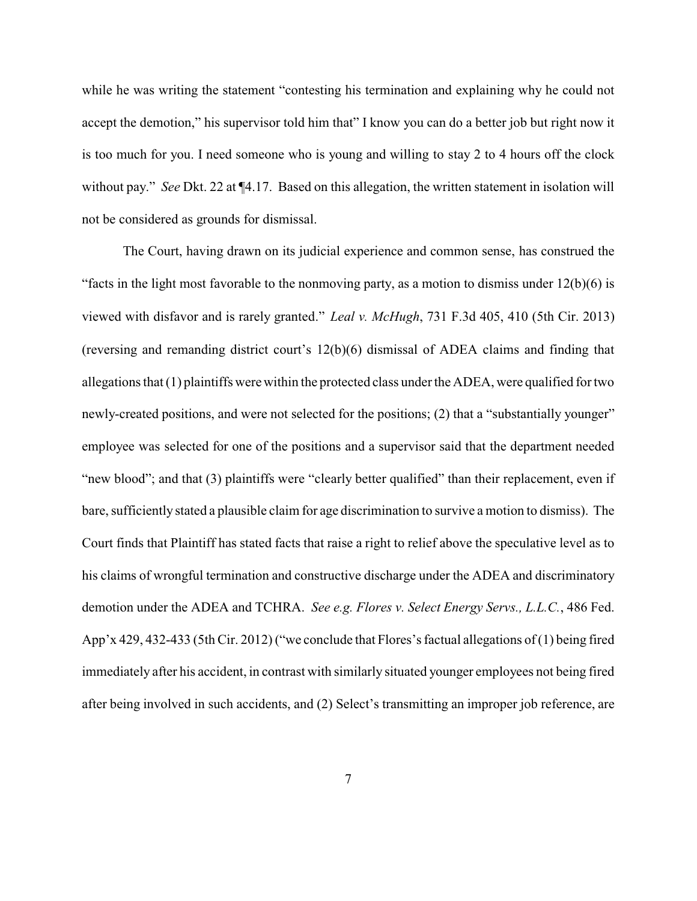while he was writing the statement "contesting his termination and explaining why he could not accept the demotion," his supervisor told him that" I know you can do a better job but right now it is too much for you. I need someone who is young and willing to stay 2 to 4 hours off the clock without pay." *See* Dkt. 22 at ¶4.17. Based on this allegation, the written statement in isolation will not be considered as grounds for dismissal.

The Court, having drawn on its judicial experience and common sense, has construed the "facts in the light most favorable to the nonmoving party, as a motion to dismiss under  $12(b)(6)$  is viewed with disfavor and is rarely granted." *Leal v. McHugh*, 731 F.3d 405, 410 (5th Cir. 2013) (reversing and remanding district court's 12(b)(6) dismissal of ADEA claims and finding that allegations that (1) plaintiffs were within the protected class under the ADEA, were qualified for two newly-created positions, and were not selected for the positions; (2) that a "substantially younger" employee was selected for one of the positions and a supervisor said that the department needed "new blood"; and that (3) plaintiffs were "clearly better qualified" than their replacement, even if bare, sufficiently stated a plausible claim for age discrimination to survive a motion to dismiss). The Court finds that Plaintiff has stated facts that raise a right to relief above the speculative level as to his claims of wrongful termination and constructive discharge under the ADEA and discriminatory demotion under the ADEA and TCHRA. *See e.g. Flores v. Select Energy Servs., L.L.C.*, 486 Fed. App'x 429, 432-433 (5th Cir. 2012) ("we conclude that Flores's factual allegations of (1) being fired immediately after his accident, in contrast with similarly situated younger employees not being fired after being involved in such accidents, and (2) Select's transmitting an improper job reference, are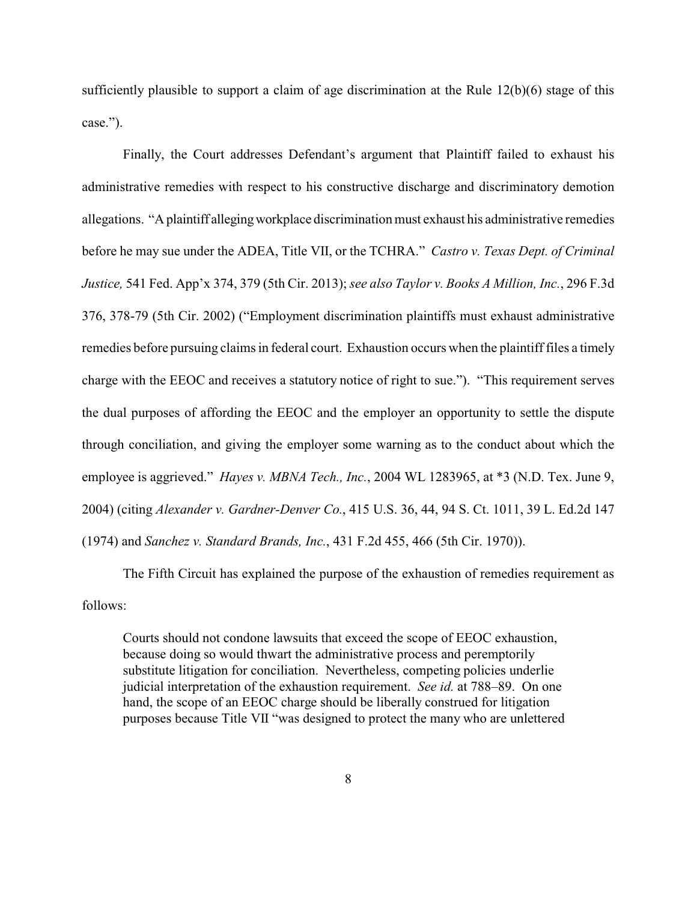sufficiently plausible to support a claim of age discrimination at the Rule 12(b)(6) stage of this case.").

Finally, the Court addresses Defendant's argument that Plaintiff failed to exhaust his administrative remedies with respect to his constructive discharge and discriminatory demotion allegations. "A plaintiff allegingworkplace discrimination must exhaust his administrative remedies before he may sue under the ADEA, Title VII, or the TCHRA." *Castro v. Texas Dept. of Criminal Justice,* 541 Fed. App'x 374, 379 (5th Cir. 2013); *see also Taylor v. Books A Million, Inc.*, 296 F.3d 376, 378-79 (5th Cir. 2002) ("Employment discrimination plaintiffs must exhaust administrative remedies before pursuing claims in federal court. Exhaustion occurs when the plaintiff files a timely charge with the EEOC and receives a statutory notice of right to sue."). "This requirement serves the dual purposes of affording the EEOC and the employer an opportunity to settle the dispute through conciliation, and giving the employer some warning as to the conduct about which the employee is aggrieved." *Hayes v. MBNA Tech., Inc.*, 2004 WL 1283965, at \*3 (N.D. Tex. June 9, 2004) (citing *Alexander v. Gardner-Denver Co.*, 415 U.S. 36, 44, 94 S. Ct. 1011, 39 L. Ed.2d 147 (1974) and *Sanchez v. Standard Brands, Inc.*, 431 F.2d 455, 466 (5th Cir. 1970)).

The Fifth Circuit has explained the purpose of the exhaustion of remedies requirement as follows:

Courts should not condone lawsuits that exceed the scope of EEOC exhaustion, because doing so would thwart the administrative process and peremptorily substitute litigation for conciliation. Nevertheless, competing policies underlie judicial interpretation of the exhaustion requirement. *See id.* at 788–89. On one hand, the scope of an EEOC charge should be liberally construed for litigation purposes because Title VII "was designed to protect the many who are unlettered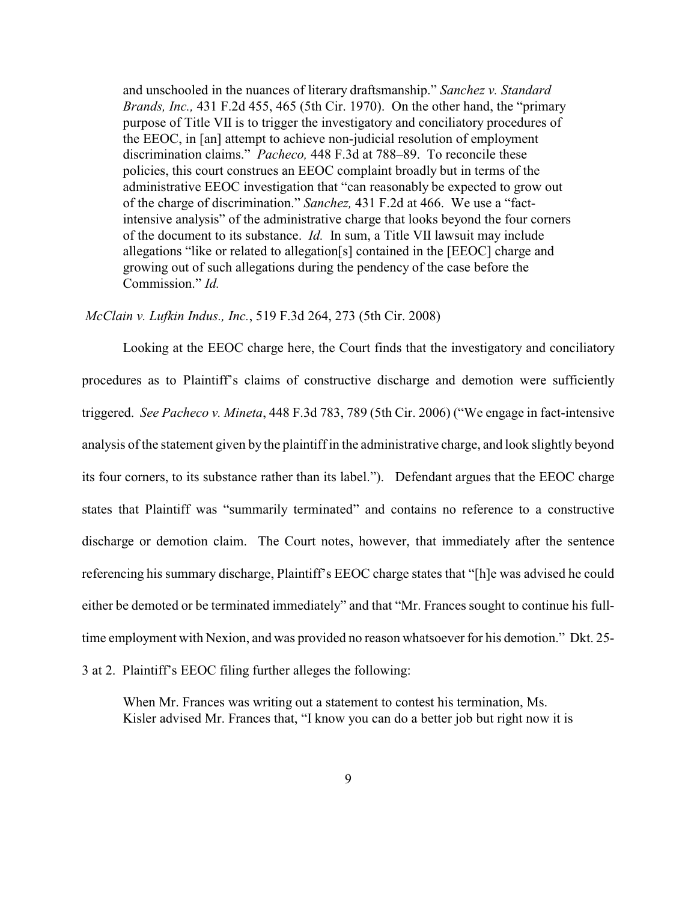and unschooled in the nuances of literary draftsmanship." *Sanchez v. Standard Brands, Inc.,* 431 F.2d 455, 465 (5th Cir. 1970). On the other hand, the "primary purpose of Title VII is to trigger the investigatory and conciliatory procedures of the EEOC, in [an] attempt to achieve non-judicial resolution of employment discrimination claims." *Pacheco,* 448 F.3d at 788–89. To reconcile these policies, this court construes an EEOC complaint broadly but in terms of the administrative EEOC investigation that "can reasonably be expected to grow out of the charge of discrimination." *Sanchez,* 431 F.2d at 466. We use a "factintensive analysis" of the administrative charge that looks beyond the four corners of the document to its substance. *Id.* In sum, a Title VII lawsuit may include allegations "like or related to allegation[s] contained in the [EEOC] charge and growing out of such allegations during the pendency of the case before the Commission." *Id.*

*McClain v. Lufkin Indus., Inc.*, 519 F.3d 264, 273 (5th Cir. 2008)

Looking at the EEOC charge here, the Court finds that the investigatory and conciliatory procedures as to Plaintiff's claims of constructive discharge and demotion were sufficiently triggered. *See Pacheco v. Mineta*, 448 F.3d 783, 789 (5th Cir. 2006) ("We engage in fact-intensive analysis of the statement given by the plaintiff in the administrative charge, and look slightly beyond its four corners, to its substance rather than its label."). Defendant argues that the EEOC charge states that Plaintiff was "summarily terminated" and contains no reference to a constructive discharge or demotion claim. The Court notes, however, that immediately after the sentence referencing his summary discharge, Plaintiff's EEOC charge states that "[h]e was advised he could either be demoted or be terminated immediately" and that "Mr. Frances sought to continue his fulltime employment with Nexion, and was provided no reason whatsoever for his demotion." Dkt. 25-

3 at 2. Plaintiff's EEOC filing further alleges the following:

When Mr. Frances was writing out a statement to contest his termination, Ms. Kisler advised Mr. Frances that, "I know you can do a better job but right now it is